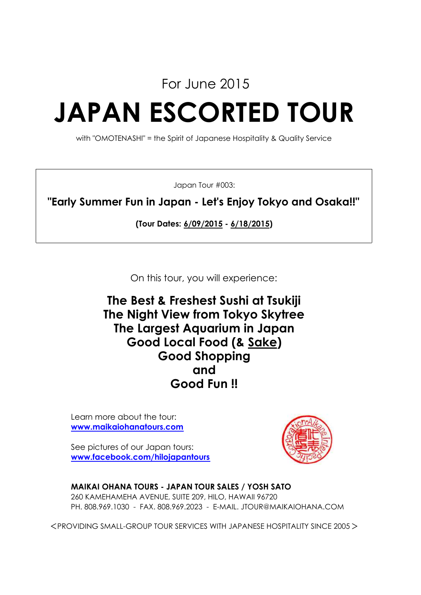For June 2015

# **JAPAN ESCORTED TOUR**

with "OMOTENASHI" = the Spirit of Japanese Hospitality & Quality Service

Japan Tour #003:

**"Early Summer Fun in Japan - Let's Enjoy Tokyo and Osaka!!"**

**(Tour Dates: 6/09/2015 - 6/18/2015)**

On this tour, you will experience:

**Good Fun !! and The Best & Freshest Sushi at Tsukiji Good Local Food (& Sake) The Largest Aquarium in Japan Good Shopping The Night View from Tokyo Skytree**

Learn more about the tour: **www.maikaiohanatours.com**

See pictures of our Japan tours: **www.facebook.com/hilojapantours**



**MAIKAI OHANA TOURS - JAPAN TOUR SALES / YOSH SATO** 260 KAMEHAMEHA AVENUE, SUITE 209, HILO, HAWAII 96720 PH. 808.969.1030 - FAX. 808.969.2023 - E-MAIL. JTOUR@MAIKAIOHANA.COM

<PROVIDING SMALL-GROUP TOUR SERVICES WITH JAPANESE HOSPITALITY SINCE 2005>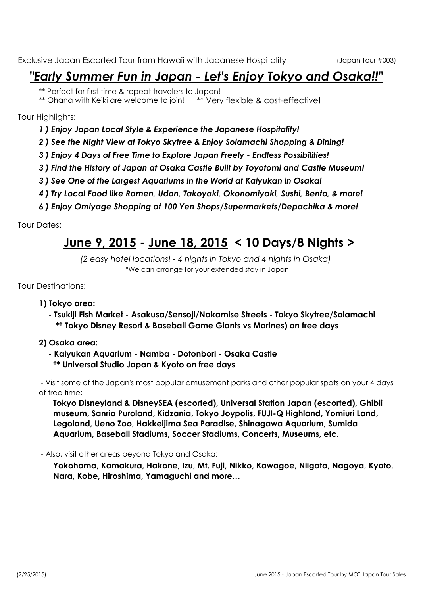# *"Early Summer Fun in Japan - Let's Enjoy Tokyo and Osaka!!"*

\*\* Perfect for first-time & repeat travelers to Japan!<br>\*\* Ohana with Keiki are welcome to join! \*\* Very flexible & cost-effective! \*\* Ohana with Keiki are welcome to join!

Tour Highlights:

- *1 ) Enjoy Japan Local Style & Experience the Japanese Hospitality!*
- *2 ) See the Night View at Tokyo Skytree & Enjoy Solamachi Shopping & Dining!*
- *3 ) Enjoy 4 Days of Free Time to Explore Japan Freely Endless Possibilities!*
- *3 ) Find the History of Japan at Osaka Castle Built by Toyotomi and Castle Museum!*
- *3 ) See One of the Largest Aquariums in the World at Kaiyukan in Osaka!*
- *4 ) Try Local Food like Ramen, Udon, Takoyaki, Okonomiyaki, Sushi, Bento, & more!*
- *6 ) Enjoy Omiyage Shopping at 100 Yen Shops/Supermarkets/Depachika & more!*

Tour Dates:

# **June 9, 2015 - June 18, 2015 < 10 Days/8 Nights >**

\*We can arrange for your extended stay in Japan *(2 easy hotel locations! - 4 nights in Tokyo and 4 nights in Osaka)*

Tour Destinations:

### **1) Tokyo area:**

 **- Tsukiji Fish Market - Asakusa/Sensoji/Nakamise Streets - Tokyo Skytree/Solamachi \*\* Tokyo Disney Resort & Baseball Game Giants vs Marines) on free days**

### **2) Osaka area:**

- **Kaiyukan Aquarium Namba Dotonbori Osaka Castle**
	- **\*\* Universal Studio Japan & Kyoto on free days**

 - Visit some of the Japan's most popular amusement parks and other popular spots on your 4 days of free time:

**Tokyo Disneyland & DisneySEA (escorted), Universal Station Japan (escorted), Ghibli museum, Sanrio Puroland, Kidzania, Tokyo Joypolis, FUJI-Q Highland, Yomiuri Land, Legoland, Ueno Zoo, Hakkeijima Sea Paradise, Shinagawa Aquarium, Sumida Aquarium, Baseball Stadiums, Soccer Stadiums, Concerts, Museums, etc.**

- Also, visit other areas beyond Tokyo and Osaka:

**Yokohama, Kamakura, Hakone, Izu, Mt. Fuji, Nikko, Kawagoe, Niigata, Nagoya, Kyoto, Nara, Kobe, Hiroshima, Yamaguchi and more…**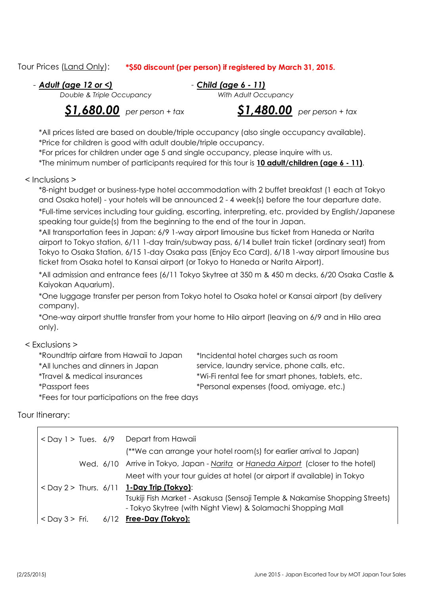### Tour Prices (Land Only): **\*\$50 discount (per person) if registered by March 31, 2015.**

- - *Child (age 6 - 11) Adult (age 12 or <)*

*Double & Triple Occupancy With Adult Occupancy*

*<u>\$1,680.00</u> per person + tax* 

*per person + tax \$1,480.00 per person + tax*

\*All prices listed are based on double/triple occupancy (also single occupancy available). \*Price for children is good with adult double/triple occupancy.

\*For prices for children under age 5 and single occupancy, please inquire with us.

\*The minimum number of participants required for this tour is **10 adult/children (age 6 - 11)**.

< Inclusions >

\*8-night budget or business-type hotel accommodation with 2 buffet breakfast (1 each at Tokyo and Osaka hotel) - your hotels will be announced 2 - 4 week(s) before the tour departure date.

\*Full-time services including tour guiding, escorting, interpreting, etc. provided by English/Japanese speaking tour guide(s) from the beginning to the end of the tour in Japan.

\*All transportation fees in Japan: 6/9 1-way airport limousine bus ticket from Haneda or Narita airport to Tokyo station, 6/11 1-day train/subway pass, 6/14 bullet train ticket (ordinary seat) from Tokyo to Osaka Station, 6/15 1-day Osaka pass (Enjoy Eco Card), 6/18 1-way airport limousine bus ticket from Osaka hotel to Kansai airport (or Tokyo to Haneda or Narita Airport).

\*All admission and entrance fees (6/11 Tokyo Skytree at 350 m & 450 m decks, 6/20 Osaka Castle & Kaiyokan Aquarium).

\*One luggage transfer per person from Tokyo hotel to Osaka hotel or Kansai airport (by delivery company).

\*One-way airport shuttle transfer from your home to Hilo airport (leaving on 6/9 and in Hilo area only).

### < Exclusions >

| *Roundtrip airfare from Hawaii to Japan        | *Incidental hotel charges such as room            |
|------------------------------------------------|---------------------------------------------------|
| *All lunches and dinners in Japan              | service, laundry service, phone calls, etc.       |
| *Travel & medical insurances                   | *Wi-Fi rental fee for smart phones, tablets, etc. |
| <i>*Passport fees</i>                          | *Personal expenses (food, omiyage, etc.)          |
| *Fees for tour participations on the free days |                                                   |

Tour Itinerary:

|  | $\langle$ Day 1 > Tues. 6/9 Depart from Hawaii                                                                                            |
|--|-------------------------------------------------------------------------------------------------------------------------------------------|
|  | (**We can arrange your hotel room(s) for earlier arrival to Japan)                                                                        |
|  | Wed. 6/10 Arrive in Tokyo, Japan - Narita or Haneda Airport (closer to the hotel)                                                         |
|  | Meet with your tour guides at hotel (or airport if available) in Tokyo                                                                    |
|  | <day 2=""> Thurs. <math>6/11</math> 1-Day Trip (Tokyo):</day>                                                                             |
|  | Tsukiji Fish Market - Asakusa (Sensoji Temple & Nakamise Shopping Streets)<br>- Tokyo Skytree (with Night View) & Solamachi Shopping Mall |
|  | $\langle$ Day 3 > Fri. 6/12 Free-Day (Tokyo):                                                                                             |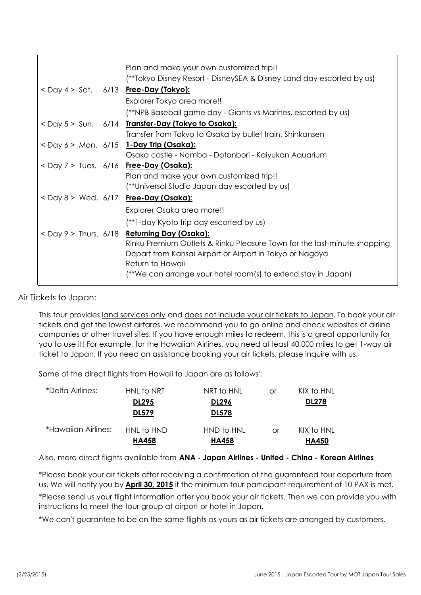|  |  | Plan and make your own customized trip!!                                 |
|--|--|--------------------------------------------------------------------------|
|  |  | (**Tokyo Disney Resort - DisneySEA & Disney Land day escorted by us)     |
|  |  | < Day 4 > Sat. 6/13 Free-Day (Tokyo):                                    |
|  |  | Explorer Tokyo area more!!                                               |
|  |  | (**NPB Baseball game day - Giants vs Marines, escorted by us)            |
|  |  | <day 5=""> Sun. 6/14 Transfer-Day (Tokyo to Osaka):</day>                |
|  |  | Transfer from Tokyo to Osaka by bullet train, Shinkansen                 |
|  |  | <day 6=""> Mon. 6/15 1-Day Trip (Osaka):</day>                           |
|  |  | Osaka castle - Namba - Dotonbori - Kaiyukan Aquarium                     |
|  |  | <day 7=""> Tues. 6/16 Free-Day (Osaka):</day>                            |
|  |  | Plan and make your own customized trip!!                                 |
|  |  | (**Universal Studio Japan day escorted by us)                            |
|  |  | <day 8=""> Wed. 6/17 Free-Day (Osaka):</day>                             |
|  |  | Explorer Osaka area more!!                                               |
|  |  | (**)-day Kyoto trip day escorted by us)                                  |
|  |  | <day 9=""> Thurs. 6/18 Returning Day (Osaka):</day>                      |
|  |  | Rinku Premium Outlets & Rinku Pleasure Town for the last-minute shopping |
|  |  | Depart from Kansai Airport or Airport in Tokyo or Nagoya                 |
|  |  | Return to Hawaii                                                         |
|  |  | (**We can arrange your hotel room(s) to extend stay in Japan)            |
|  |  |                                                                          |

Air Tickets to Japan:

 $\mathbf{I}$ 

This tour provides land services only and does not include your air tickets to Japan. To book your air tickets and get the lowest airfares, we recommend you to go online and check websites of airline companies or other travel sites. If you have enough miles to redeem, this is a great opportunity for you to use it! For example, for the Hawaiian Airlines, you need at least 40,000 miles to get 1-way air ticket to Japan. If you need an assistance booking your air tickets, please inquire with us.

Some of the direct flights from Hawaii to Japan are as follows':

| *Delta Airlines:    | HNL to NRT                 | NRT to HNL                 | or | KIX to HNL                 |
|---------------------|----------------------------|----------------------------|----|----------------------------|
|                     | <b>DL295</b>               | <b>DL296</b>               |    | <b>DL278</b>               |
|                     | <b>DL579</b>               | <b>DL578</b>               |    |                            |
| *Hawaiian Airlines: | HNL to HND<br><b>HA458</b> | HND to HNL<br><b>HA458</b> | Ωr | KIX to HNL<br><b>HA450</b> |

Also, more direct flights available from **ANA - Japan Airlines - United - China - Korean Airlines**

\*Please send us your flight information after you book your air tickets. Then we can provide you with instructions to meet the tour group at airport or hotel in Japan. \*Please book your air tickets after receiving a confirmation of the guaranteed tour departure from us. We will notify you by **April 30, 2015** if the minimum tour participant requirement of 10 PAX is met.

\*We can't guarantee to be on the same flights as yours as air tickets are arranged by customers.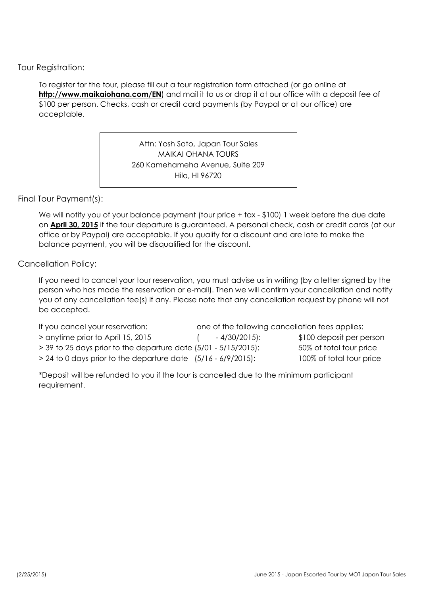Tour Registration:

To register for the tour, please fill out a tour registration form attached (or go online at http://www.maikaiohana.com/EN) and mail it to us or drop it at our office with a deposit fee of \$100 per person. Checks, cash or credit card payments (by Paypal or at our office) are acceptable.

> Attn: Yosh Sato, Japan Tour Sales MAIKAI OHANA TOURS 260 Kamehameha Avenue, Suite 209 Hilo, HI 96720

### Final Tour Payment(s):

We will notify you of your balance payment (tour price + tax - \$100) 1 week before the due date on **April 30, 2015** if the tour departure is guaranteed. A personal check, cash or credit cards (at our office or by Paypal) are acceptable. If you qualify for a discount and are late to make the balance payment, you will be disqualified for the discount.

### Cancellation Policy:

If you need to cancel your tour reservation, you must advise us in writing (by a letter signed by the person who has made the reservation or e-mail). Then we will confirm your cancellation and notify you of any cancellation fee(s) if any. Please note that any cancellation request by phone will not be accepted.

| If you cancel your reservation:                                    | one of the following cancellation fees applies: |                          |
|--------------------------------------------------------------------|-------------------------------------------------|--------------------------|
| > anytime prior to April 15, 2015                                  | $-4/30/2015$ :                                  | \$100 deposit per person |
| $>$ 39 to 25 days prior to the departure date (5/01 - 5/15/2015):  |                                                 | 50% of total tour price  |
| $> 24$ to 0 days prior to the departure date $(5/16 - 6/9/2015)$ : |                                                 | 100% of total tour price |

\*Deposit will be refunded to you if the tour is cancelled due to the minimum participant requirement.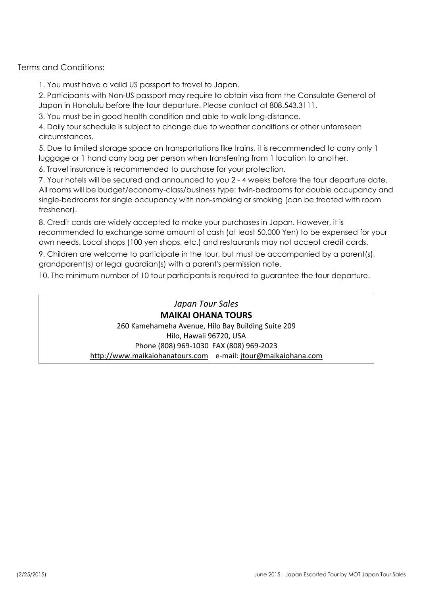Terms and Conditions:

1. You must have a valid US passport to travel to Japan.

2. Participants with Non-US passport may require to obtain visa from the Consulate General of Japan in Honolulu before the tour departure. Please contact at 808.543.3111.

3. You must be in good health condition and able to walk long-distance.

4. Daily tour schedule is subject to change due to weather conditions or other unforeseen circumstances.

5. Due to limited storage space on transportations like trains, it is recommended to carry only 1 luggage or 1 hand carry bag per person when transferring from 1 location to another.

6. Travel insurance is recommended to purchase for your protection.

7. Your hotels will be secured and announced to you 2 - 4 weeks before the tour departure date. All rooms will be budget/economy-class/business type: twin-bedrooms for double occupancy and single-bedrooms for single occupancy with non-smoking or smoking (can be treated with room freshener).

8. Credit cards are widely accepted to make your purchases in Japan. However, it is recommended to exchange some amount of cash (at least 50,000 Yen) to be expensed for your own needs. Local shops (100 yen shops, etc.) and restaurants may not accept credit cards.

9. Children are welcome to participate in the tour, but must be accompanied by a parent(s), grandparent(s) or legal guardian(s) with a parent's permission note.

10. The minimum number of 10 tour participants is required to guarantee the tour departure.

*Japan Tour Sales* **MAIKAI OHANA TOURS** 260 Kamehameha Avenue, Hilo Bay Building Suite 209 Hilo, Hawaii 96720, USA Phone (808) 969-1030 FAX (808) 969-2023 http://www.maikaiohanatours.com e-mail: jtour@maikaiohana.com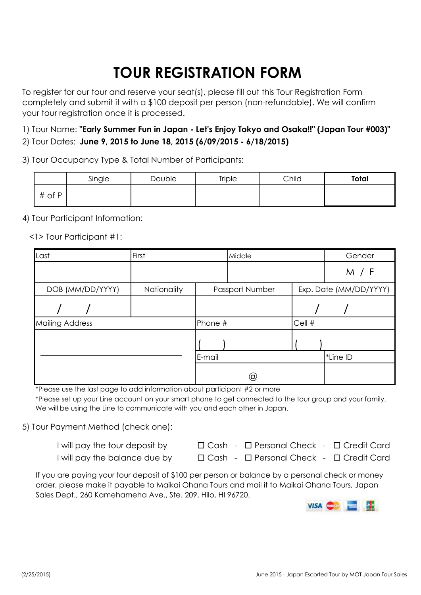# **TOUR REGISTRATION FORM**

To register for our tour and reserve your seat(s), please fill out this Tour Registration Form completely and submit it with a \$100 deposit per person (non-refundable). We will confirm your tour registration once it is processed.

1) Tour Name: **"Early Summer Fun in Japan - Let's Enjoy Tokyo and Osaka!!" (Japan Tour #003)"** 2) Tour Dates: **June 9, 2015 to June 18, 2015 (6/09/2015 - 6/18/2015)**

3) Tour Occupancy Type & Total Number of Participants:

|        | Single | <b>Double</b> | <b>Triple</b> | Child | Total |
|--------|--------|---------------|---------------|-------|-------|
| # of P |        |               |               |       |       |

4) Tour Participant Information:

<1> Tour Participant #1:

| Last                   |                  | First       |         | Middle          |        | Gender                 |
|------------------------|------------------|-------------|---------|-----------------|--------|------------------------|
|                        |                  |             |         |                 |        | M / F                  |
|                        | DOB (MM/DD/YYYY) | Nationality |         | Passport Number |        | Exp. Date (MM/DD/YYYY) |
|                        |                  |             |         |                 |        |                        |
| <b>Mailing Address</b> |                  |             | Phone # |                 | Cell # |                        |
|                        |                  |             |         |                 |        |                        |
|                        |                  |             | E-mail  |                 |        | *Line ID               |
|                        |                  |             |         | (a)             |        |                        |

\*Please use the last page to add information about participant #2 or more

\*Please set up your Line account on your smart phone to get connected to the tour group and your family. We will be using the Line to communicate with you and each other in Japan.

5) Tour Payment Method (check one):

| I will pay the tour deposit by | $\Box$ Cash - $\Box$ Personal Check - $\Box$ Credit Card |  |
|--------------------------------|----------------------------------------------------------|--|
| I will pay the balance due by  | $\Box$ Cash - $\Box$ Personal Check - $\Box$ Credit Card |  |

If you are paying your tour deposit of \$100 per person or balance by a personal check or money order, please make it payable to Maikai Ohana Tours and mail it to Maikai Ohana Tours, Japan Sales Dept., 260 Kamehameha Ave., Ste. 209, Hilo, HI 96720.

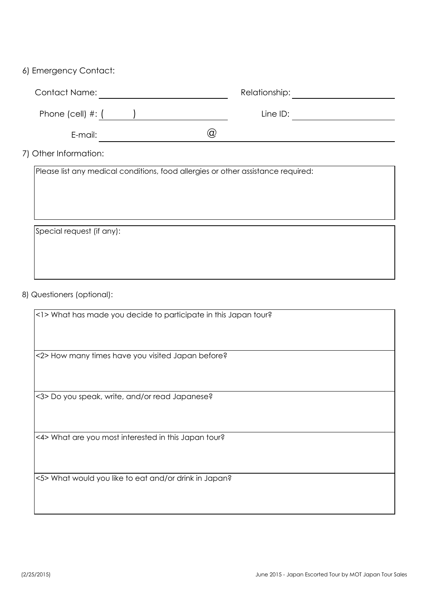### 6) Emergency Contact:

| <b>Contact Name:</b>    |     | Relationship: |  |
|-------------------------|-----|---------------|--|
| Phone (cell) $\#$ : $($ |     | Line ID:      |  |
| E-mail:                 | ία, |               |  |

7) Other Information:

Please list any medical conditions, food allergies or other assistance required:

Special request (if any):

### 8) Questioners (optional):

<1> What has made you decide to participate in this Japan tour?

<2> How many times have you visited Japan before?

<3> Do you speak, write, and/or read Japanese?

<4> What are you most interested in this Japan tour?

<5> What would you like to eat and/or drink in Japan?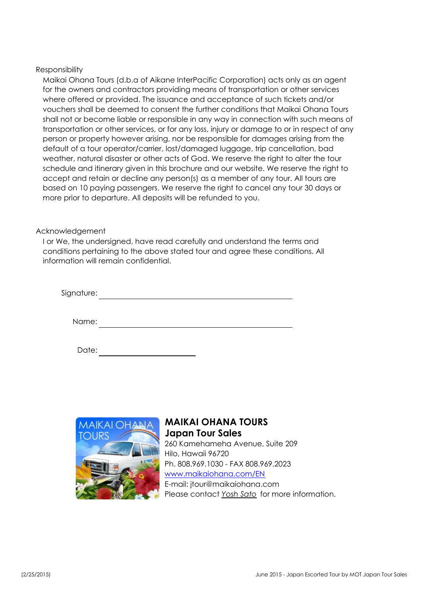### Responsibility

Maikai Ohana Tours (d.b.a of Aikane InterPacific Corporation) acts only as an agent for the owners and contractors providing means of transportation or other services where offered or provided. The issuance and acceptance of such tickets and/or vouchers shall be deemed to consent the further conditions that Maikai Ohana Tours shall not or become liable or responsible in any way in connection with such means of transportation or other services, or for any loss, injury or damage to or in respect of any person or property however arising, nor be responsible for damages arising from the default of a tour operator/carrier, lost/damaged luggage, trip cancellation, bad weather, natural disaster or other acts of God. We reserve the right to alter the tour schedule and itinerary given in this brochure and our website. We reserve the right to accept and retain or decline any person(s) as a member of any tour. All tours are based on 10 paying passengers. We reserve the right to cancel any tour 30 days or more prior to departure. All deposits will be refunded to you.

### Acknowledgement

I or We, the undersigned, have read carefully and understand the terms and conditions pertaining to the above stated tour and agree these conditions. All information will remain confidential.

| Signature: |  |  |  |
|------------|--|--|--|
|            |  |  |  |
| Name:      |  |  |  |

| Date: |  |  |  |  |
|-------|--|--|--|--|
|-------|--|--|--|--|



### **MAIKAI OHANA TOURS Japan Tour Sales** 260 Kamehameha Avenue, Suite 209 Hilo, Hawaii 96720 Ph. 808.969.1030 - FAX 808.969.2023 www.maikaiohana.com/EN E-mail: jtour@maikaiohana.com Please contact *Yosh Sato* for more information.